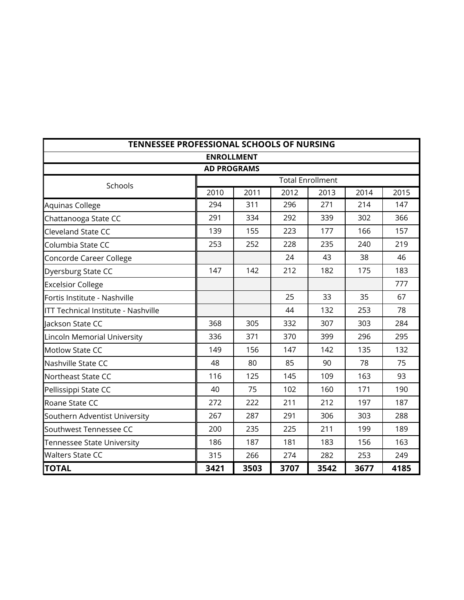| TENNESSEE PROFESSIONAL SCHOOLS OF NURSING |                   |      |      |                         |      |      |  |
|-------------------------------------------|-------------------|------|------|-------------------------|------|------|--|
|                                           | <b>ENROLLMENT</b> |      |      |                         |      |      |  |
| <b>AD PROGRAMS</b>                        |                   |      |      |                         |      |      |  |
| Schools                                   |                   |      |      | <b>Total Enrollment</b> |      |      |  |
|                                           | 2010              | 2011 | 2012 | 2013                    | 2014 | 2015 |  |
| Aquinas College                           | 294               | 311  | 296  | 271                     | 214  | 147  |  |
| Chattanooga State CC                      | 291               | 334  | 292  | 339                     | 302  | 366  |  |
| Cleveland State CC                        | 139               | 155  | 223  | 177                     | 166  | 157  |  |
| Columbia State CC                         | 253               | 252  | 228  | 235                     | 240  | 219  |  |
| Concorde Career College                   |                   |      | 24   | 43                      | 38   | 46   |  |
| Dyersburg State CC                        | 147               | 142  | 212  | 182                     | 175  | 183  |  |
| <b>Excelsior College</b>                  |                   |      |      |                         |      | 777  |  |
| Fortis Institute - Nashville              |                   |      | 25   | 33                      | 35   | 67   |  |
| ITT Technical Institute - Nashville       |                   |      | 44   | 132                     | 253  | 78   |  |
| lackson State CC                          | 368               | 305  | 332  | 307                     | 303  | 284  |  |
| Lincoln Memorial University               | 336               | 371  | 370  | 399                     | 296  | 295  |  |
| <b>Motlow State CC</b>                    | 149               | 156  | 147  | 142                     | 135  | 132  |  |
| Nashville State CC                        | 48                | 80   | 85   | 90                      | 78   | 75   |  |
| Northeast State CC                        | 116               | 125  | 145  | 109                     | 163  | 93   |  |
| Pellissippi State CC                      | 40                | 75   | 102  | 160                     | 171  | 190  |  |
| Roane State CC                            | 272               | 222  | 211  | 212                     | 197  | 187  |  |
| Southern Adventist University             | 267               | 287  | 291  | 306                     | 303  | 288  |  |
| Southwest Tennessee CC                    | 200               | 235  | 225  | 211                     | 199  | 189  |  |
| <b>Tennessee State University</b>         | 186               | 187  | 181  | 183                     | 156  | 163  |  |
| <b>Walters State CC</b>                   | 315               | 266  | 274  | 282                     | 253  | 249  |  |
| <b>TOTAL</b>                              | 3421              | 3503 | 3707 | 3542                    | 3677 | 4185 |  |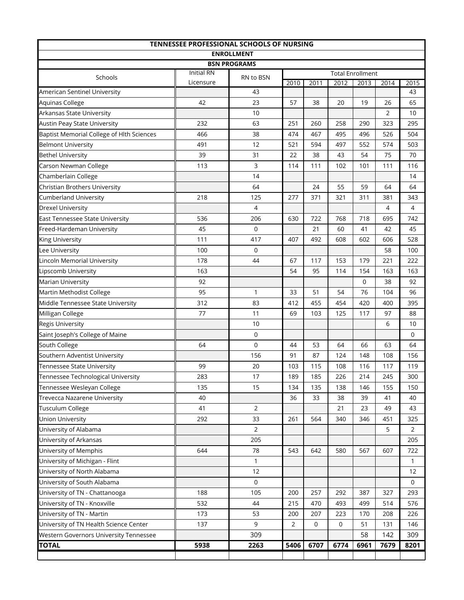| TENNESSEE PROFESSIONAL SCHOOLS OF NURSING |                                |                |                |             |             |                         |      |                |
|-------------------------------------------|--------------------------------|----------------|----------------|-------------|-------------|-------------------------|------|----------------|
| <b>ENROLLMENT</b>                         |                                |                |                |             |             |                         |      |                |
| <b>BSN PROGRAMS</b>                       |                                |                |                |             |             |                         |      |                |
| Schools                                   | <b>Initial RN</b><br>Licensure | RN to BSN      |                |             |             | <b>Total Enrollment</b> |      |                |
| American Sentinel University              |                                | 43             | 2010           | 2011        | 2012        | 2013                    | 2014 | 2015<br>43     |
| Aquinas College                           | 42                             | 23             | 57             | 38          | 20          | 19                      | 26   | 65             |
| Arkansas State University                 |                                | 10             |                |             |             |                         | 2    | 10             |
| <b>Austin Peay State University</b>       | 232                            | 63             | 251            | 260         | 258         | 290                     | 323  | 295            |
| Baptist Memorial College of Hlth Sciences | 466                            | 38             | 474            | 467         | 495         | 496                     | 526  | 504            |
| <b>Belmont University</b>                 | 491                            | 12             | 521            | 594         | 497         | 552                     | 574  | 503            |
| <b>Bethel University</b>                  | 39                             | 31             | 22             | 38          | 43          | 54                      | 75   | 70             |
| Carson Newman College                     | 113                            | 3              | 114            | 111         | 102         | 101                     | 111  | 116            |
| Chamberlain College                       |                                | 14             |                |             |             |                         |      | 14             |
| Christian Brothers University             |                                | 64             |                | 24          | 55          | 59                      | 64   | 64             |
| <b>Cumberland University</b>              | 218                            | 125            | 277            | 371         | 321         | 311                     | 381  | 343            |
| <b>Drexel University</b>                  |                                | 4              |                |             |             |                         | 4    | 4              |
| East Tennessee State University           | 536                            | 206            | 630            | 722         | 768         | 718                     | 695  | 742            |
| Freed-Hardeman University                 | 45                             | 0              |                | 21          | 60          | 41                      | 42   | 45             |
| King University                           | 111                            | 417            | 407            | 492         | 608         | 602                     | 606  | 528            |
| Lee University                            | 100                            | 0              |                |             |             |                         | 58   | 100            |
| Lincoln Memorial University               | 178                            | 44             | 67             | 117         | 153         | 179                     | 221  | 222            |
| Lipscomb University                       | 163                            |                | 54             | 95          | 114         | 154                     | 163  | 163            |
| Marian University                         | 92                             |                |                |             |             | 0                       | 38   | 92             |
| Martin Methodist College                  | 95                             | 1              | 33             | 51          | 54          | 76                      | 104  | 96             |
| Middle Tennessee State University         | 312                            | 83             | 412            | 455         | 454         | 420                     | 400  | 395            |
| Milligan College                          | 77                             | 11             | 69             | 103         | 125         | 117                     | 97   | 88             |
| Regis University                          |                                | 10             |                |             |             |                         | 6    | 10             |
| Saint Joseph's College of Maine           |                                | 0              |                |             |             |                         |      | 0              |
| South College                             | 64                             | $\mathbf 0$    | 44             | 53          | 64          | 66                      | 63   | 64             |
| Southern Adventist University             |                                | 156            | 91             | 87          | 124         | 148                     | 108  | 156            |
| Tennessee State University                | 99                             | 20             | 103            | 115         | 108         | 116                     | 117  | 119            |
| Tennessee Technological University        | 283                            | 17             | 189            | 185         | 226         | 214                     | 245  | 300            |
| Tennessee Wesleyan College                | 135                            | 15             | 134            | 135         | 138         | 146                     | 155  | 150            |
| Trevecca Nazarene University              | 40                             |                | 36             | 33          | 38          | 39                      | 41   | 40             |
| Tusculum College                          | 41                             | $\overline{2}$ |                |             | 21          | 23                      | 49   | 43             |
| <b>Union University</b>                   | 292                            | 33             | 261            | 564         | 340         | 346                     | 451  | 325            |
| University of Alabama                     |                                | $\overline{2}$ |                |             |             |                         | 5    | $\overline{2}$ |
| University of Arkansas                    |                                | 205            |                |             |             |                         |      | 205            |
| University of Memphis                     | 644                            | 78             | 543            | 642         | 580         | 567                     | 607  | 722            |
| University of Michigan - Flint            |                                | 1              |                |             |             |                         |      | $\mathbf{1}$   |
| University of North Alabama               |                                | 12             |                |             |             |                         |      | 12             |
| University of South Alabama               |                                | $\mathbf 0$    |                |             |             |                         |      | $\mathbf 0$    |
| University of TN - Chattanooga            | 188                            | 105            | 200            | 257         | 292         | 387                     | 327  | 293            |
| University of TN - Knoxville              | 532                            | 44             | 215            | 470         | 493         | 499                     | 514  | 576            |
| University of TN - Martin                 | 173                            | 53             | 200            | 207         | 223         | 170                     | 208  | 226            |
| University of TN Health Science Center    | 137                            | 9              | $\overline{2}$ | $\mathbf 0$ | $\mathbf 0$ | 51                      | 131  | 146            |
| Western Governors University Tennessee    |                                | 309            |                |             |             | 58                      | 142  | 309            |
| <b>TOTAL</b>                              | 5938                           | 2263           | 5406           | 6707        | 6774        | 6961                    | 7679 | 8201           |
|                                           |                                |                |                |             |             |                         |      |                |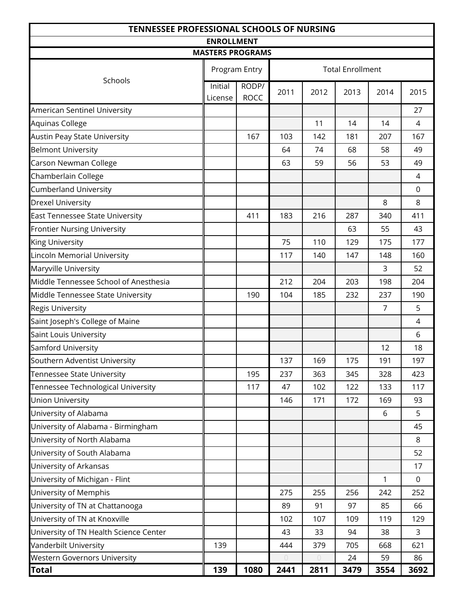| <b>TENNESSEE PROFESSIONAL SCHOOLS OF NURSING</b> |                         |                      |            |                                  |                         |                |             |
|--------------------------------------------------|-------------------------|----------------------|------------|----------------------------------|-------------------------|----------------|-------------|
| <b>ENROLLMENT</b>                                |                         |                      |            |                                  |                         |                |             |
|                                                  | <b>MASTERS PROGRAMS</b> |                      |            |                                  |                         |                |             |
| Schools                                          |                         | Program Entry        |            |                                  | <b>Total Enrollment</b> |                |             |
|                                                  | Initial<br>License      | RODP/<br><b>ROCC</b> | 2011       | 2012                             | 2013                    | 2014           | 2015        |
| American Sentinel University                     |                         |                      |            |                                  |                         |                | 27          |
| Aquinas College                                  |                         |                      |            | 11                               | 14                      | 14             | 4           |
| <b>Austin Peay State University</b>              |                         | 167                  | 103        | 142                              | 181                     | 207            | 167         |
| <b>Belmont University</b>                        |                         |                      | 64         | 74                               | 68                      | 58             | 49          |
| Carson Newman College                            |                         |                      | 63         | 59                               | 56                      | 53             | 49          |
| Chamberlain College                              |                         |                      |            |                                  |                         |                | 4           |
| <b>Cumberland University</b>                     |                         |                      |            |                                  |                         |                | $\mathbf 0$ |
| <b>Drexel University</b>                         |                         |                      |            |                                  |                         | 8              | 8           |
| <b>East Tennessee State University</b>           |                         | 411                  | 183        | 216                              | 287                     | 340            | 411         |
| <b>Frontier Nursing University</b>               |                         |                      |            |                                  | 63                      | 55             | 43          |
| King University                                  |                         |                      | 75         | 110                              | 129                     | 175            | 177         |
| Lincoln Memorial University                      |                         |                      | 117        | 140                              | 147                     | 148            | 160         |
| Maryville University                             |                         |                      |            |                                  |                         | 3              | 52          |
| Middle Tennessee School of Anesthesia            |                         |                      | 212        | 204                              | 203                     | 198            | 204         |
| Middle Tennessee State University                |                         | 190                  | 104        | 185                              | 232                     | 237            | 190         |
| Regis University                                 |                         |                      |            |                                  |                         | $\overline{7}$ | 5           |
| Saint Joseph's College of Maine                  |                         |                      |            |                                  |                         |                | 4           |
| Saint Louis University                           |                         |                      |            |                                  |                         |                | 6           |
| Samford University                               |                         |                      |            |                                  |                         | 12             | 18          |
| Southern Adventist University                    |                         |                      | 137        | 169                              | 175                     | 191            | 197         |
| Tennessee State University                       |                         | 195                  | 237        | 363                              | 345                     | 328            | 423         |
| Tennessee Technological University               |                         | 117                  | 47         | 102                              | 122                     | 133            | 117         |
| <b>Union University</b>                          |                         |                      | 146        | 171                              | 172                     | 169            | 93          |
| University of Alabama                            |                         |                      |            |                                  |                         | 6              | 5           |
| University of Alabama - Birmingham               |                         |                      |            |                                  |                         |                | 45          |
| University of North Alabama                      |                         |                      |            |                                  |                         |                | 8           |
| University of South Alabama                      |                         |                      |            |                                  |                         |                | 52          |
| University of Arkansas                           |                         |                      |            |                                  |                         |                | 17          |
| University of Michigan - Flint                   |                         |                      |            |                                  |                         | 1              | $\mathbf 0$ |
| University of Memphis                            |                         |                      | 275        | 255                              | 256                     | 242            | 252         |
| University of TN at Chattanooga                  |                         |                      | 89         | 91                               | 97                      | 85             | 66          |
| University of TN at Knoxville                    |                         |                      | 102        | 107                              | 109                     | 119            | 129         |
| University of TN Health Science Center           |                         |                      | 43         | 33                               | 94                      | 38             | 3           |
| Vanderbilt University                            | 139                     |                      | 444        | 379                              | 705                     | 668            | 621         |
| <b>Western Governors University</b>              |                         |                      | $\bigcirc$ | $\begin{array}{c} \n\end{array}$ | 24                      | 59             | 86          |
| <b>Total</b>                                     | 139                     | 1080                 | 2441       | 2811                             | 3479                    | 3554           | 3692        |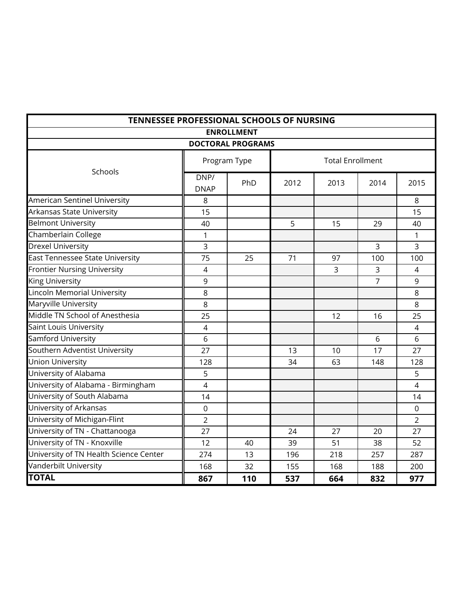| TENNESSEE PROFESSIONAL SCHOOLS OF NURSING |                     |              |      |                         |                |                |  |  |
|-------------------------------------------|---------------------|--------------|------|-------------------------|----------------|----------------|--|--|
|                                           | <b>ENROLLMENT</b>   |              |      |                         |                |                |  |  |
| <b>DOCTORAL PROGRAMS</b>                  |                     |              |      |                         |                |                |  |  |
| Schools                                   |                     | Program Type |      | <b>Total Enrollment</b> |                |                |  |  |
|                                           | DNP/<br><b>DNAP</b> | PhD          | 2012 | 2013                    | 2014           | 2015           |  |  |
| American Sentinel University              | 8                   |              |      |                         |                | 8              |  |  |
| Arkansas State University                 | 15                  |              |      |                         |                | 15             |  |  |
| <b>Belmont University</b>                 | 40                  |              | 5    | 15                      | 29             | 40             |  |  |
| Chamberlain College                       | 1                   |              |      |                         |                | 1              |  |  |
| <b>Drexel University</b>                  | 3                   |              |      |                         | $\overline{3}$ | $\overline{3}$ |  |  |
| <b>East Tennessee State University</b>    | 75                  | 25           | 71   | 97                      | 100            | 100            |  |  |
| <b>Frontier Nursing University</b>        | $\overline{4}$      |              |      | 3                       | 3              | 4              |  |  |
| <b>King University</b>                    | 9                   |              |      |                         | $\overline{7}$ | 9              |  |  |
| <b>Lincoln Memorial University</b>        | 8                   |              |      |                         |                | 8              |  |  |
| Maryville University                      | 8                   |              |      |                         |                | 8              |  |  |
| Middle TN School of Anesthesia            | 25                  |              |      | 12                      | 16             | 25             |  |  |
| Saint Louis University                    | $\overline{4}$      |              |      |                         |                | 4              |  |  |
| Samford University                        | 6                   |              |      |                         | 6              | 6              |  |  |
| Southern Adventist University             | 27                  |              | 13   | 10                      | 17             | 27             |  |  |
| <b>Union University</b>                   | 128                 |              | 34   | 63                      | 148            | 128            |  |  |
| University of Alabama                     | 5                   |              |      |                         |                | 5              |  |  |
| University of Alabama - Birmingham        | $\overline{4}$      |              |      |                         |                | 4              |  |  |
| University of South Alabama               | 14                  |              |      |                         |                | 14             |  |  |
| University of Arkansas                    | 0                   |              |      |                         |                | 0              |  |  |
| University of Michigan-Flint              | $\overline{2}$      |              |      |                         |                | $\overline{2}$ |  |  |
| University of TN - Chattanooga            | 27                  |              | 24   | 27                      | 20             | 27             |  |  |
| University of TN - Knoxville              | 12                  | 40           | 39   | 51                      | 38             | 52             |  |  |
| University of TN Health Science Center    | 274                 | 13           | 196  | 218                     | 257            | 287            |  |  |
| Vanderbilt University                     | 168                 | 32           | 155  | 168                     | 188            | 200            |  |  |
| <b>TOTAL</b>                              | 867                 | 110          | 537  | 664                     | 832            | 977            |  |  |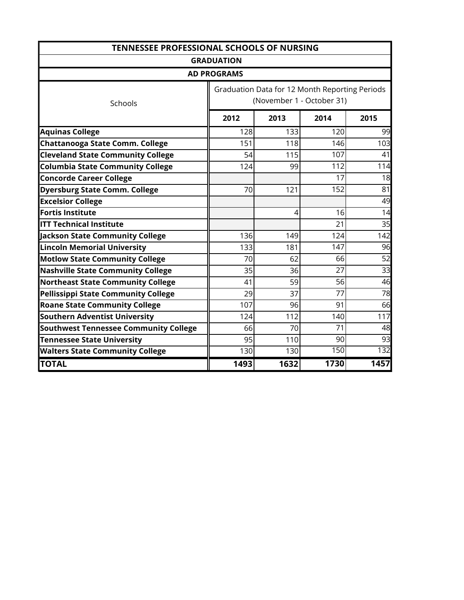| <b>TENNESSEE PROFESSIONAL SCHOOLS OF NURSING</b> |                    |      |                                                |      |  |
|--------------------------------------------------|--------------------|------|------------------------------------------------|------|--|
|                                                  | <b>GRADUATION</b>  |      |                                                |      |  |
|                                                  | <b>AD PROGRAMS</b> |      |                                                |      |  |
|                                                  |                    |      | Graduation Data for 12 Month Reporting Periods |      |  |
| Schools                                          |                    |      | (November 1 - October 31)                      |      |  |
|                                                  | 2012               | 2013 | 2014                                           | 2015 |  |
| <b>Aquinas College</b>                           | 128                | 133  | 120                                            | 99   |  |
| <b>Chattanooga State Comm. College</b>           | 151                | 118  | 146                                            | 103  |  |
| <b>Cleveland State Community College</b>         | 54                 | 115  | 107                                            | 41   |  |
| <b>Columbia State Community College</b>          | 124                | 99   | 112                                            | 114  |  |
| <b>Concorde Career College</b>                   |                    |      | 17                                             | 18   |  |
| <b>Dyersburg State Comm. College</b>             | 70                 | 121  | 152                                            | 81   |  |
| <b>Excelsior College</b>                         |                    |      |                                                | 49   |  |
| <b>Fortis Institute</b>                          |                    | 4    | 16                                             | 14   |  |
| <b>ITT Technical Institute</b>                   |                    |      | 21                                             | 35   |  |
| Jackson State Community College                  | 136                | 149  | 124                                            | 142  |  |
| <b>Lincoln Memorial University</b>               | 133                | 181  | 147                                            | 96   |  |
| <b>Motlow State Community College</b>            | 70                 | 62   | 66                                             | 52   |  |
| <b>Nashville State Community College</b>         | 35                 | 36   | 27                                             | 33   |  |
| <b>Northeast State Community College</b>         | 41                 | 59   | 56                                             | 46   |  |
| Pellissippi State Community College              | 29                 | 37   | 77                                             | 78   |  |
| <b>Roane State Community College</b>             | 107                | 96   | 91                                             | 66   |  |
| <b>Southern Adventist University</b>             | 124                | 112  | 140                                            | 117  |  |
| <b>Southwest Tennessee Community College</b>     | 66                 | 70   | 71                                             | 48   |  |
| <b>Tennessee State University</b>                | 95                 | 110  | 90                                             | 93   |  |
| <b>Walters State Community College</b>           | 130                | 130  | 150                                            | 132  |  |
| <b>TOTAL</b>                                     | 1493               | 1632 | 1730                                           | 1457 |  |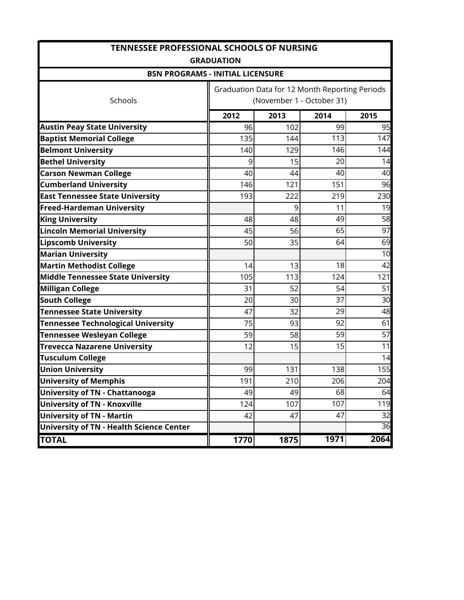| <b>TENNESSEE PROFESSIONAL SCHOOLS OF NURSING</b> |                              |      |                                                |      |  |  |  |
|--------------------------------------------------|------------------------------|------|------------------------------------------------|------|--|--|--|
|                                                  | <b>GRADUATION</b>            |      |                                                |      |  |  |  |
| <b>BSN PROGRAMS - INITIAL LICENSURE</b>          |                              |      |                                                |      |  |  |  |
|                                                  |                              |      | Graduation Data for 12 Month Reporting Periods |      |  |  |  |
| Schools                                          |                              |      | (November 1 - October 31)                      |      |  |  |  |
|                                                  | 2012                         | 2013 | 2014                                           | 2015 |  |  |  |
| <b>Austin Peay State University</b>              | 96                           | 102  | 99                                             | 95   |  |  |  |
| <b>Baptist Memorial College</b>                  | 135                          | 144  | 113                                            | 147  |  |  |  |
| <b>Belmont University</b>                        | 140                          | 129  | 146                                            | 144  |  |  |  |
| <b>Bethel University</b>                         | 9                            | 15   | 20                                             | 14   |  |  |  |
| <b>Carson Newman College</b>                     | 40                           | 44   | 40                                             | 40   |  |  |  |
| <b>Cumberland University</b>                     | 146                          | 121  | 151                                            | 96   |  |  |  |
| <b>East Tennessee State University</b>           | 193                          | 222  | 219                                            | 230  |  |  |  |
| <b>Freed-Hardeman University</b>                 |                              | 9    | 11                                             | 19   |  |  |  |
| <b>King University</b>                           | 48                           | 48   | 49                                             | 58   |  |  |  |
| <b>Lincoln Memorial University</b>               | 45                           | 56   | 65                                             | 97   |  |  |  |
| <b>Lipscomb University</b>                       | 50                           | 35   | 64                                             | 69   |  |  |  |
| <b>Marian University</b>                         |                              |      |                                                | 10   |  |  |  |
| <b>Martin Methodist College</b>                  | 14                           | 13   | 18                                             | 42   |  |  |  |
| Middle Tennessee State University                | 105                          | 113  | 124                                            | 121  |  |  |  |
| <b>Milligan College</b>                          | 31                           | 52   | 54                                             | 51   |  |  |  |
| <b>South College</b>                             | 20                           | 30   | 37                                             | 30   |  |  |  |
| <b>Tennessee State University</b>                | 47                           | 32   | 29                                             | 48   |  |  |  |
| <b>Tennessee Technological University</b>        | 75                           | 93   | 92                                             | 61   |  |  |  |
| <b>Tennessee Wesleyan College</b>                | 59                           | 58   | 59                                             | 57   |  |  |  |
| <b>Trevecca Nazarene University</b>              | 12                           | 15   | 15                                             | 11   |  |  |  |
| <b>Tusculum College</b>                          |                              |      |                                                | 14   |  |  |  |
| <b>Union University</b>                          | 99                           | 131  | 138                                            | 155  |  |  |  |
| <b>University of Memphis</b>                     | 191                          | 210  | 206                                            | 204  |  |  |  |
| <b>University of TN - Chattanooga</b>            | 49                           | 49   | 68                                             | 64   |  |  |  |
| <b>University of TN - Knoxville</b>              | 124                          | 107  | 107                                            | 119  |  |  |  |
| <b>University of TN - Martin</b>                 | 42                           | 47   | 47                                             | 32   |  |  |  |
| <b>University of TN - Health Science Center</b>  |                              |      |                                                | 36   |  |  |  |
| <b>TOTAL</b>                                     | 1971<br>2064<br>1770<br>1875 |      |                                                |      |  |  |  |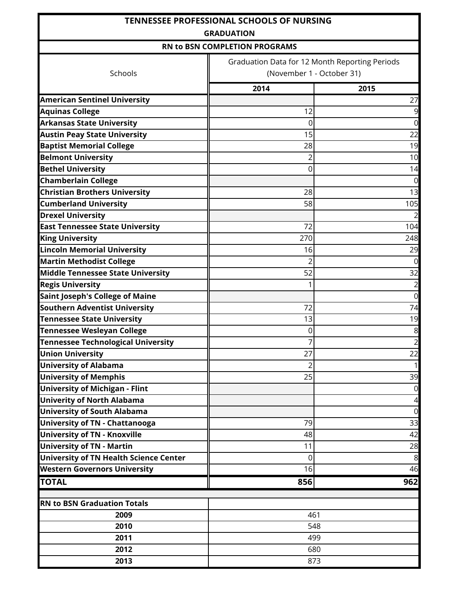|                                               | <b>TENNESSEE PROFESSIONAL SCHOOLS OF NURSING</b><br><b>GRADUATION</b> |                |  |  |
|-----------------------------------------------|-----------------------------------------------------------------------|----------------|--|--|
|                                               | RN to BSN COMPLETION PROGRAMS                                         |                |  |  |
|                                               | Graduation Data for 12 Month Reporting Periods                        |                |  |  |
| Schools                                       | (November 1 - October 31)                                             |                |  |  |
|                                               | 2014                                                                  | 2015           |  |  |
| <b>American Sentinel University</b>           |                                                                       | 27             |  |  |
| <b>Aquinas College</b>                        | 12                                                                    | 9              |  |  |
| <b>Arkansas State University</b>              | 0                                                                     | $\overline{0}$ |  |  |
| <b>Austin Peay State University</b>           | 15                                                                    | 22             |  |  |
| <b>Baptist Memorial College</b>               | 28                                                                    | 19             |  |  |
| <b>Belmont University</b>                     | 2                                                                     | 10             |  |  |
| <b>Bethel University</b>                      | 0                                                                     | 14             |  |  |
| <b>Chamberlain College</b>                    |                                                                       | $\overline{0}$ |  |  |
| <b>Christian Brothers University</b>          | 28                                                                    | 13             |  |  |
| <b>Cumberland University</b>                  | 58                                                                    | 105            |  |  |
| <b>Drexel University</b>                      |                                                                       |                |  |  |
| <b>East Tennessee State University</b>        | 72                                                                    | 104            |  |  |
| <b>King University</b>                        | 270                                                                   | 248            |  |  |
| <b>Lincoln Memorial University</b>            | 16                                                                    | 29             |  |  |
| <b>Martin Methodist College</b>               | 2                                                                     | $\overline{0}$ |  |  |
| <b>Middle Tennessee State University</b>      | 52                                                                    | 32             |  |  |
| <b>Regis University</b>                       |                                                                       | $\overline{2}$ |  |  |
| Saint Joseph's College of Maine               |                                                                       | $\overline{0}$ |  |  |
| <b>Southern Adventist University</b>          | 72                                                                    | 74             |  |  |
| <b>Tennessee State University</b>             | 13                                                                    | 19             |  |  |
| <b>Tennessee Wesleyan College</b>             | 0                                                                     | 8              |  |  |
| <b>Tennessee Technological University</b>     |                                                                       | $\overline{c}$ |  |  |
| <b>Union University</b>                       | 27                                                                    | 22             |  |  |
| <b>University of Alabama</b>                  | 2                                                                     | $\mathbf{1}$   |  |  |
| <b>University of Memphis</b>                  | 25                                                                    | 39             |  |  |
| <b>University of Michigan - Flint</b>         |                                                                       | $\overline{0}$ |  |  |
| <b>Univerity of North Alabama</b>             |                                                                       | 4              |  |  |
| <b>University of South Alabama</b>            |                                                                       | $\overline{0}$ |  |  |
| <b>University of TN - Chattanooga</b>         | 79                                                                    | 33             |  |  |
| <b>University of TN - Knoxville</b>           | 48                                                                    | 42             |  |  |
| <b>University of TN - Martin</b>              | 11                                                                    | 28             |  |  |
| <b>University of TN Health Science Center</b> | 0                                                                     | 8              |  |  |
| <b>Western Governors University</b>           | 16                                                                    | 46             |  |  |
| <b>TOTAL</b>                                  | 856                                                                   | 962            |  |  |
|                                               |                                                                       |                |  |  |
| <b>RN to BSN Graduation Totals</b>            |                                                                       |                |  |  |
| 2009                                          | 461                                                                   |                |  |  |
| 2010                                          | 548                                                                   |                |  |  |
| 2011                                          | 499                                                                   |                |  |  |
| 2012                                          | 680                                                                   |                |  |  |
| 2013                                          | 873                                                                   |                |  |  |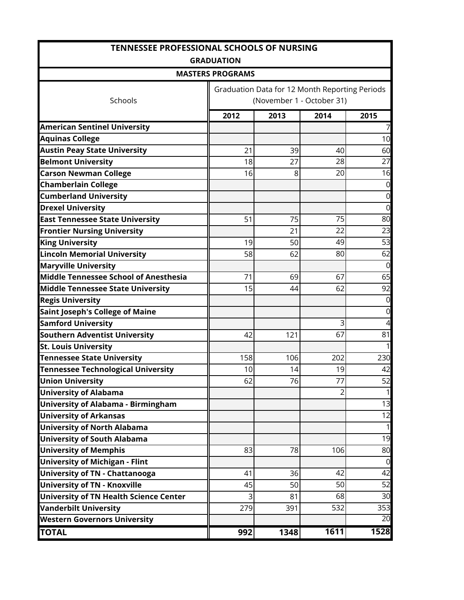| <b>TENNESSEE PROFESSIONAL SCHOOLS OF NURSING</b> |                                                |      |                |              |  |  |
|--------------------------------------------------|------------------------------------------------|------|----------------|--------------|--|--|
|                                                  | <b>GRADUATION</b>                              |      |                |              |  |  |
|                                                  | <b>MASTERS PROGRAMS</b>                        |      |                |              |  |  |
|                                                  | Graduation Data for 12 Month Reporting Periods |      |                |              |  |  |
| Schools                                          | (November 1 - October 31)                      |      |                |              |  |  |
|                                                  | 2012                                           | 2013 | 2014           | 2015         |  |  |
| <b>American Sentinel University</b>              |                                                |      |                | 7            |  |  |
| <b>Aquinas College</b>                           |                                                |      |                | 10           |  |  |
| <b>Austin Peay State University</b>              | 21                                             | 39   | 40             | 60           |  |  |
| <b>Belmont University</b>                        | 18                                             | 27   | 28             | 27           |  |  |
| <b>Carson Newman College</b>                     | 16                                             | 8    | 20             | 16           |  |  |
| <b>Chamberlain College</b>                       |                                                |      |                | 0            |  |  |
| <b>Cumberland University</b>                     |                                                |      |                | $\mathbf 0$  |  |  |
| <b>Drexel University</b>                         |                                                |      |                | $\mathbf 0$  |  |  |
| <b>East Tennessee State University</b>           | 51                                             | 75   | 75             | 80           |  |  |
| <b>Frontier Nursing University</b>               |                                                | 21   | 22             | 23           |  |  |
| <b>King University</b>                           | 19                                             | 50   | 49             | 53           |  |  |
| <b>Lincoln Memorial University</b>               | 58                                             | 62   | 80             | 62           |  |  |
| <b>Maryville University</b>                      |                                                |      |                | $\Omega$     |  |  |
| Middle Tennessee School of Anesthesia            | 71                                             | 69   | 67             | 65           |  |  |
| <b>Middle Tennessee State University</b>         | 15                                             | 44   | 62             | 92           |  |  |
| <b>Regis University</b>                          |                                                |      |                | $\mathbf 0$  |  |  |
| <b>Saint Joseph's College of Maine</b>           |                                                |      |                | $\mathbf 0$  |  |  |
| <b>Samford University</b>                        |                                                |      | 3              | 4            |  |  |
| <b>Southern Adventist University</b>             | 42                                             | 121  | 67             | 81           |  |  |
| <b>St. Louis University</b>                      |                                                |      |                | 1            |  |  |
| <b>Tennessee State University</b>                | 158                                            | 106  | 202            | 230          |  |  |
| <b>Tennessee Technological University</b>        | 10                                             | 14   | 19             | 42           |  |  |
| <b>Union University</b>                          | 62                                             | 76   | 77             | 52           |  |  |
| <b>University of Alabama</b>                     |                                                |      | $\overline{2}$ | 1            |  |  |
| <b>University of Alabama - Birmingham</b>        |                                                |      |                | 13           |  |  |
| <b>University of Arkansas</b>                    |                                                |      |                | 12           |  |  |
| <b>University of North Alabama</b>               |                                                |      |                | $\mathbf{1}$ |  |  |
| <b>University of South Alabama</b>               |                                                |      |                | 19           |  |  |
| <b>University of Memphis</b>                     | 83                                             | 78   | 106            | 80           |  |  |
| <b>University of Michigan - Flint</b>            |                                                |      |                | 0            |  |  |
| <b>University of TN - Chattanooga</b>            | 41                                             | 36   | 42             | 42           |  |  |
| <b>University of TN - Knoxville</b>              | 45                                             | 50   | 50             | 52           |  |  |
| <b>University of TN Health Science Center</b>    | 3                                              | 81   | 68             | 30           |  |  |
| <b>Vanderbilt University</b>                     | 279                                            | 391  | 532            | 353          |  |  |
| <b>Western Governors University</b>              |                                                |      |                | 20           |  |  |
| <b>TOTAL</b>                                     | 992                                            | 1348 | 1611           | 1528         |  |  |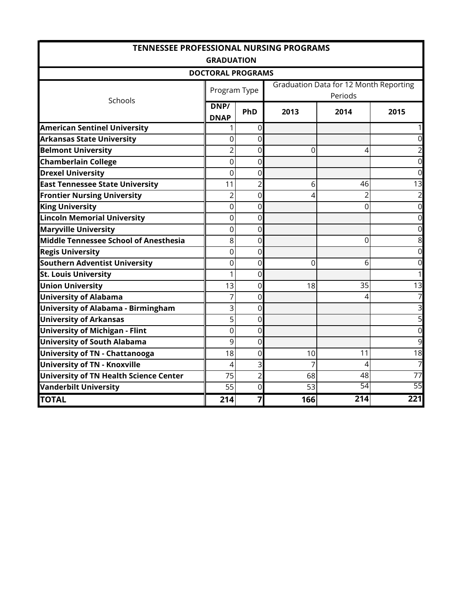| <b>TENNESSEE PROFESSIONAL NURSING PROGRAMS</b> |                     |                |      |                                                          |                |  |  |  |
|------------------------------------------------|---------------------|----------------|------|----------------------------------------------------------|----------------|--|--|--|
|                                                | <b>GRADUATION</b>   |                |      |                                                          |                |  |  |  |
| <b>DOCTORAL PROGRAMS</b>                       |                     |                |      |                                                          |                |  |  |  |
| Schools                                        | Program Type        |                |      | <b>Graduation Data for 12 Month Reporting</b><br>Periods |                |  |  |  |
|                                                | DNP/<br><b>DNAP</b> | PhD            | 2013 | 2014                                                     | 2015           |  |  |  |
| <b>American Sentinel University</b>            |                     | $\overline{0}$ |      |                                                          | 1              |  |  |  |
| <b>Arkansas State University</b>               | 0                   | 0              |      |                                                          | $\mathbf 0$    |  |  |  |
| <b>Belmont University</b>                      | $\overline{2}$      | 0              | 0    | 4                                                        | $\overline{a}$ |  |  |  |
| <b>Chamberlain College</b>                     | 0                   | 0              |      |                                                          | $\mathbf 0$    |  |  |  |
| <b>Drexel University</b>                       | 0                   | 0              |      |                                                          | $\mathbf 0$    |  |  |  |
| <b>East Tennessee State University</b>         | 11                  | 2              | 6    | 46                                                       | 13             |  |  |  |
| <b>Frontier Nursing University</b>             | $\overline{2}$      | $\overline{0}$ | 4    |                                                          | $\overline{a}$ |  |  |  |
| <b>King University</b>                         | 0                   | 0              |      | O                                                        | $\overline{0}$ |  |  |  |
| <b>Lincoln Memorial University</b>             | 0                   | 0              |      |                                                          | $\mathbf 0$    |  |  |  |
| <b>Maryville University</b>                    | 0                   | 0              |      |                                                          | $\mathbf 0$    |  |  |  |
| <b>Middle Tennessee School of Anesthesia</b>   | 8                   | 0              |      | 0                                                        | 8              |  |  |  |
| <b>Regis University</b>                        | 0                   | 0              |      |                                                          | $\overline{0}$ |  |  |  |
| <b>Southern Adventist University</b>           | 0                   | 0              | 0    | 6                                                        | $\mathbf 0$    |  |  |  |
| <b>St. Louis University</b>                    | 1                   | 0              |      |                                                          | 1              |  |  |  |
| <b>Union University</b>                        | 13                  | 0              | 18   | 35                                                       | 13             |  |  |  |
| <b>University of Alabama</b>                   | 7                   | 0              |      | 4                                                        | 7              |  |  |  |
| <b>University of Alabama - Birmingham</b>      | 3                   | $\overline{0}$ |      |                                                          | 3              |  |  |  |
| <b>University of Arkansas</b>                  | 5                   | 0              |      |                                                          | 5              |  |  |  |
| <b>University of Michigan - Flint</b>          | 0                   | 0              |      |                                                          | $\mathbf 0$    |  |  |  |
| <b>University of South Alabama</b>             | 9                   | $\overline{0}$ |      |                                                          | 9              |  |  |  |
| <b>University of TN - Chattanooga</b>          | 18                  | 0              | 10   | 11                                                       | 18             |  |  |  |
| University of TN - Knoxville                   | 4                   | 3              | 7    | 4                                                        | $\overline{7}$ |  |  |  |
| <b>University of TN Health Science Center</b>  | 75                  | $\overline{2}$ | 68   | 48                                                       | 77             |  |  |  |
| <b>Vanderbilt University</b>                   | 55                  | 0              | 53   | 54                                                       | 55             |  |  |  |
| <b>TOTAL</b>                                   | 214                 | $\overline{7}$ | 166  | 214                                                      | 221            |  |  |  |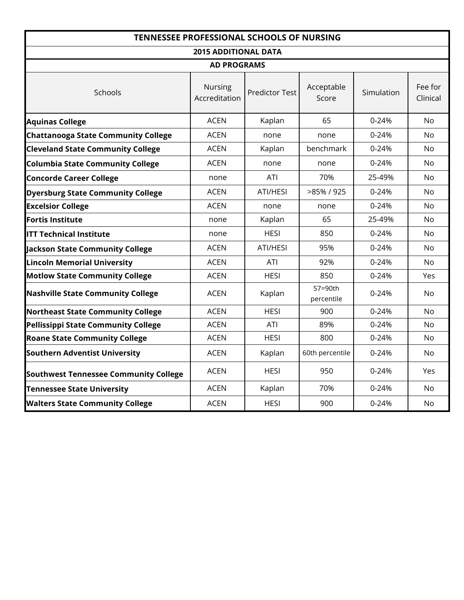| <b>TENNESSEE PROFESSIONAL SCHOOLS OF NURSING</b> |                                 |                       |                       |            |                     |
|--------------------------------------------------|---------------------------------|-----------------------|-----------------------|------------|---------------------|
|                                                  | <b>2015 ADDITIONAL DATA</b>     |                       |                       |            |                     |
|                                                  | <b>AD PROGRAMS</b>              |                       |                       |            |                     |
| Schools                                          | <b>Nursing</b><br>Accreditation | <b>Predictor Test</b> | Acceptable<br>Score   | Simulation | Fee for<br>Clinical |
| <b>Aquinas College</b>                           | <b>ACEN</b>                     | Kaplan                | 65                    | $0 - 24%$  | <b>No</b>           |
| <b>Chattanooga State Community College</b>       | <b>ACEN</b>                     | none                  | none                  | $0 - 24%$  | No                  |
| <b>Cleveland State Community College</b>         | <b>ACEN</b>                     | Kaplan                | benchmark             | $0 - 24%$  | <b>No</b>           |
| <b>Columbia State Community College</b>          | <b>ACEN</b>                     | none                  | none                  | $0 - 24%$  | <b>No</b>           |
| <b>Concorde Career College</b>                   | none                            | ATI                   | 70%                   | 25-49%     | <b>No</b>           |
| <b>Dyersburg State Community College</b>         | <b>ACEN</b>                     | ATI/HESI              | >85% / 925            | $0 - 24%$  | <b>No</b>           |
| <b>Excelsior College</b>                         | <b>ACEN</b>                     | none                  | none                  | $0 - 24%$  | No                  |
| <b>Fortis Institute</b>                          | none                            | Kaplan                | 65                    | 25-49%     | <b>No</b>           |
| <b>ITT Technical Institute</b>                   | none                            | <b>HESI</b>           | 850                   | $0 - 24%$  | No                  |
| <b>Jackson State Community College</b>           | <b>ACEN</b>                     | ATI/HESI              | 95%                   | $0 - 24%$  | No                  |
| <b>Lincoln Memorial University</b>               | <b>ACEN</b>                     | ATI                   | 92%                   | 0-24%      | No                  |
| <b>Motlow State Community College</b>            | <b>ACEN</b>                     | <b>HESI</b>           | 850                   | $0 - 24%$  | Yes                 |
| <b>Nashville State Community College</b>         | <b>ACEN</b>                     | Kaplan                | 57=90th<br>percentile | $0 - 24%$  | <b>No</b>           |
| <b>Northeast State Community College</b>         | <b>ACEN</b>                     | <b>HESI</b>           | 900                   | $0 - 24%$  | <b>No</b>           |
| <b>Pellissippi State Community College</b>       | <b>ACEN</b>                     | ATI                   | 89%                   | 0-24%      | <b>No</b>           |
| <b>Roane State Community College</b>             | <b>ACEN</b>                     | <b>HESI</b>           | 800                   | 0-24%      | N <sub>o</sub>      |
| <b>Southern Adventist University</b>             | <b>ACEN</b>                     | Kaplan                | 60th percentile       | $0 - 24%$  | <b>No</b>           |
| <b>Southwest Tennessee Community College</b>     | <b>ACEN</b>                     | <b>HESI</b>           | 950                   | $0 - 24%$  | Yes                 |
| <b>Tennessee State University</b>                | <b>ACEN</b>                     | Kaplan                | 70%                   | $0 - 24%$  | <b>No</b>           |
| <b>Walters State Community College</b>           | <b>ACEN</b>                     | <b>HESI</b>           | 900                   | 0-24%      | <b>No</b>           |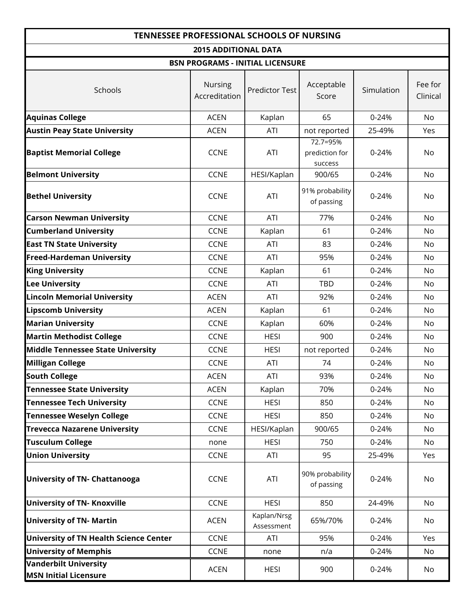| <b>TENNESSEE PROFESSIONAL SCHOOLS OF NURSING</b>             |                          |                                         |                                       |            |                     |  |  |
|--------------------------------------------------------------|--------------------------|-----------------------------------------|---------------------------------------|------------|---------------------|--|--|
| <b>2015 ADDITIONAL DATA</b>                                  |                          |                                         |                                       |            |                     |  |  |
|                                                              |                          | <b>BSN PROGRAMS - INITIAL LICENSURE</b> |                                       |            |                     |  |  |
| Schools                                                      | Nursing<br>Accreditation | <b>Predictor Test</b>                   | Acceptable<br>Score                   | Simulation | Fee for<br>Clinical |  |  |
| <b>Aquinas College</b>                                       | <b>ACEN</b>              | Kaplan                                  | 65                                    | 0-24%      | <b>No</b>           |  |  |
| <b>Austin Peay State University</b>                          | <b>ACEN</b>              | ATI                                     | not reported                          | 25-49%     | Yes                 |  |  |
| <b>Baptist Memorial College</b>                              | <b>CCNE</b>              | ATI                                     | 72.7=95%<br>prediction for<br>success | $0 - 24%$  | No                  |  |  |
| <b>Belmont University</b>                                    | <b>CCNE</b>              | HESI/Kaplan                             | 900/65                                | $0 - 24%$  | <b>No</b>           |  |  |
| <b>Bethel University</b>                                     | <b>CCNE</b>              | ATI                                     | 91% probability<br>of passing         | $0 - 24%$  | No                  |  |  |
| <b>Carson Newman University</b>                              | <b>CCNE</b>              | ATI                                     | 77%                                   | $0 - 24%$  | No                  |  |  |
| <b>Cumberland University</b>                                 | <b>CCNE</b>              | Kaplan                                  | 61                                    | $0 - 24%$  | No                  |  |  |
| <b>East TN State University</b>                              | <b>CCNE</b>              | ATI                                     | 83                                    | 0-24%      | No                  |  |  |
| <b>Freed-Hardeman University</b>                             | <b>CCNE</b>              | ATI                                     | 95%                                   | 0-24%      | No.                 |  |  |
| <b>King University</b>                                       | <b>CCNE</b>              | Kaplan                                  | 61                                    | $0 - 24%$  | No                  |  |  |
| <b>Lee University</b>                                        | <b>CCNE</b>              | ATI                                     | <b>TBD</b>                            | $0 - 24%$  | No.                 |  |  |
| <b>Lincoln Memorial University</b>                           | <b>ACEN</b>              | ATI                                     | 92%                                   | $0 - 24%$  | <b>No</b>           |  |  |
| <b>Lipscomb University</b>                                   | <b>ACEN</b>              | Kaplan                                  | 61                                    | 0-24%      | No.                 |  |  |
| <b>Marian University</b>                                     | <b>CCNE</b>              | Kaplan                                  | 60%                                   | $0 - 24%$  | <b>No</b>           |  |  |
| <b>Martin Methodist College</b>                              | <b>CCNE</b>              | <b>HESI</b>                             | 900                                   | $0 - 24%$  | No                  |  |  |
| <b>Middle Tennessee State University</b>                     | <b>CCNE</b>              | <b>HESI</b>                             | not reported                          | 0-24%      | No                  |  |  |
| <b>Milligan College</b>                                      | <b>CCNE</b>              | <b>ATI</b>                              | 74                                    | 0-24%      | No                  |  |  |
| <b>South College</b>                                         | <b>ACEN</b>              | ATI                                     | 93%                                   | 0-24%      | No                  |  |  |
| <b>Tennessee State University</b>                            | <b>ACEN</b>              | Kaplan                                  | 70%                                   | 0-24%      | No                  |  |  |
| <b>Tennessee Tech University</b>                             | <b>CCNE</b>              | <b>HESI</b>                             | 850                                   | $0 - 24%$  | No                  |  |  |
| <b>Tennessee Weselyn College</b>                             | <b>CCNE</b>              | <b>HESI</b>                             | 850                                   | $0 - 24%$  | No                  |  |  |
| <b>Trevecca Nazarene University</b>                          | <b>CCNE</b>              | HESI/Kaplan                             | 900/65                                | $0 - 24%$  | No                  |  |  |
| <b>Tusculum College</b>                                      | none                     | <b>HESI</b>                             | 750                                   | $0 - 24%$  | No                  |  |  |
| <b>Union University</b>                                      | <b>CCNE</b>              | ATI                                     | 95                                    | 25-49%     | Yes                 |  |  |
| <b>University of TN- Chattanooga</b>                         | <b>CCNE</b>              | ATI                                     | 90% probability<br>of passing         | $0 - 24%$  | No                  |  |  |
| <b>University of TN- Knoxville</b>                           | <b>CCNE</b>              | <b>HESI</b>                             | 850                                   | 24-49%     | No                  |  |  |
| <b>University of TN- Martin</b>                              | <b>ACEN</b>              | Kaplan/Nrsg<br>Assessment               | 65%/70%                               | $0 - 24%$  | No                  |  |  |
| <b>University of TN Health Science Center</b>                | <b>CCNE</b>              | ATI                                     | 95%                                   | $0 - 24%$  | Yes                 |  |  |
| <b>University of Memphis</b>                                 | <b>CCNE</b>              | none                                    | n/a                                   | 0-24%      | No                  |  |  |
| <b>Vanderbilt University</b><br><b>MSN Initial Licensure</b> | <b>ACEN</b>              | <b>HESI</b>                             | 900                                   | 0-24%      | No                  |  |  |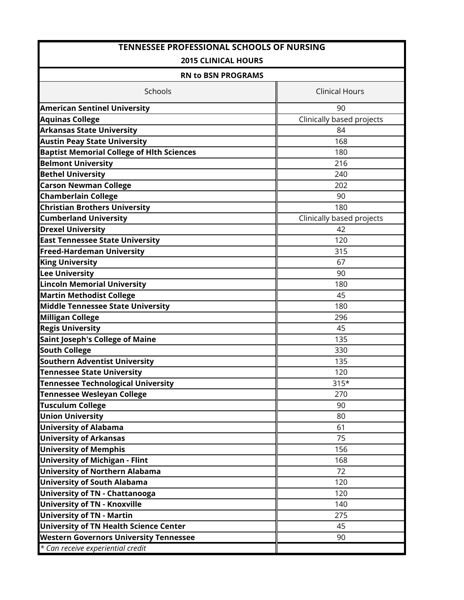| <b>TENNESSEE PROFESSIONAL SCHOOLS OF NURSING</b> |                           |  |  |  |  |
|--------------------------------------------------|---------------------------|--|--|--|--|
| <b>2015 CLINICAL HOURS</b>                       |                           |  |  |  |  |
| <b>RN to BSN PROGRAMS</b>                        |                           |  |  |  |  |
| Schools                                          | <b>Clinical Hours</b>     |  |  |  |  |
| <b>American Sentinel University</b>              | 90                        |  |  |  |  |
| <b>Aquinas College</b>                           | Clinically based projects |  |  |  |  |
| <b>Arkansas State University</b>                 | 84                        |  |  |  |  |
| <b>Austin Peay State University</b>              | 168                       |  |  |  |  |
| <b>Baptist Memorial College of Hith Sciences</b> | 180                       |  |  |  |  |
| <b>Belmont University</b>                        | 216                       |  |  |  |  |
| <b>Bethel University</b>                         | 240                       |  |  |  |  |
| <b>Carson Newman College</b>                     | 202                       |  |  |  |  |
| <b>Chamberlain College</b>                       | 90                        |  |  |  |  |
| <b>Christian Brothers University</b>             | 180                       |  |  |  |  |
| <b>Cumberland University</b>                     | Clinically based projects |  |  |  |  |
| <b>Drexel University</b>                         | 42                        |  |  |  |  |
| <b>East Tennessee State University</b>           | 120                       |  |  |  |  |
| <b>Freed-Hardeman University</b>                 | 315                       |  |  |  |  |
| <b>King University</b>                           | 67                        |  |  |  |  |
| <b>Lee University</b>                            | 90                        |  |  |  |  |
| <b>Lincoln Memorial University</b>               | 180                       |  |  |  |  |
| <b>Martin Methodist College</b>                  | 45                        |  |  |  |  |
| Middle Tennessee State University                | 180                       |  |  |  |  |
| <b>Milligan College</b>                          | 296                       |  |  |  |  |
| <b>Regis University</b>                          | 45                        |  |  |  |  |
| <b>Saint Joseph's College of Maine</b>           | 135                       |  |  |  |  |
| <b>South College</b>                             | 330                       |  |  |  |  |
| <b>Southern Adventist University</b>             | 135                       |  |  |  |  |
| <b>Tennessee State University</b>                | 120                       |  |  |  |  |
| <b>Tennessee Technological University</b>        | $315*$                    |  |  |  |  |
| <b>Tennessee Wesleyan College</b>                | 270                       |  |  |  |  |
| <b>Tusculum College</b>                          | 90                        |  |  |  |  |
| <b>Union University</b>                          | 80                        |  |  |  |  |
| <b>University of Alabama</b>                     | 61                        |  |  |  |  |
| <b>University of Arkansas</b>                    | 75                        |  |  |  |  |
| <b>University of Memphis</b>                     | 156                       |  |  |  |  |
| <b>University of Michigan - Flint</b>            | 168                       |  |  |  |  |
| <b>University of Northern Alabama</b>            | 72                        |  |  |  |  |
| <b>University of South Alabama</b>               | 120                       |  |  |  |  |
| <b>University of TN - Chattanooga</b>            | 120                       |  |  |  |  |
| <b>University of TN - Knoxville</b>              | 140                       |  |  |  |  |
| <b>University of TN - Martin</b>                 | 275                       |  |  |  |  |
| <b>University of TN Health Science Center</b>    | 45                        |  |  |  |  |
| <b>Western Governors University Tennessee</b>    | 90                        |  |  |  |  |
| * Can receive experiential credit                |                           |  |  |  |  |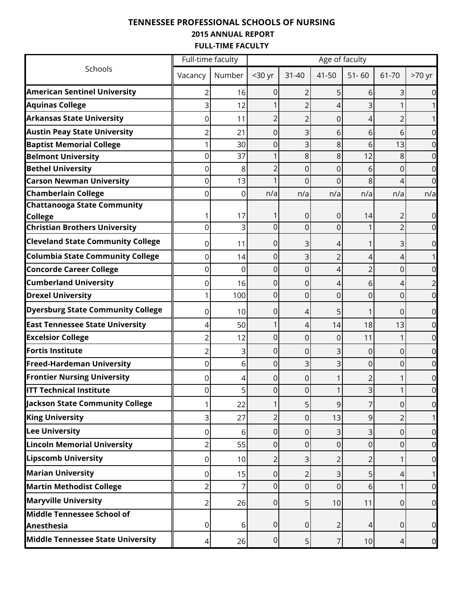## **TENNESSEE PROFESSIONAL SCHOOLS OF NURSING 2015 ANNUAL REPORT FULL-TIME FACULTY**

|                                                        | Full-time faculty |         | Age of faculty   |                |                |                |                     |                  |  |  |  |
|--------------------------------------------------------|-------------------|---------|------------------|----------------|----------------|----------------|---------------------|------------------|--|--|--|
| Schools                                                | Vacancy           | Number  | <30 yr           | $31 - 40$      | 41-50          | $51 - 60$      | 61-70               | >70 yr           |  |  |  |
| <b>American Sentinel University</b>                    |                   | 16      | 0                | 2              |                | 6              | 3                   |                  |  |  |  |
| <b>Aquinas College</b>                                 |                   | 12      |                  |                | ⊿              | 3              |                     |                  |  |  |  |
| <b>Arkansas State University</b>                       | 0                 | 11      | 2                |                | 0              | 4              |                     |                  |  |  |  |
| <b>Austin Peay State University</b>                    |                   | 21      | 0                | 3              | 6              | 6              | 6                   |                  |  |  |  |
| <b>Baptist Memorial College</b>                        |                   | 30      | 0                | 3              | 8              | 6              | 13                  |                  |  |  |  |
| <b>Belmont University</b>                              | 0                 | 37      | 1                | 8              | 8              | 12             | 8                   |                  |  |  |  |
| <b>Bethel University</b>                               | 0                 | 8       | 2                | 0              | 0              | 6              | 0                   | 0                |  |  |  |
| <b>Carson Newman University</b>                        | 0                 | 13      |                  | 0              | $\Omega$       | 8              | 4                   |                  |  |  |  |
| <b>Chamberlain College</b>                             | 0                 | 0       | n/a              | n/a            | n/a            | n/a            | n/a                 | n/a              |  |  |  |
| <b>Chattanooga State Community</b>                     |                   |         |                  |                |                |                |                     |                  |  |  |  |
| <b>College</b><br><b>Christian Brothers University</b> | 0                 | 17<br>3 | 0                | 0<br>0         | 0<br>0         | 14             | 2<br>$\overline{2}$ | 0<br>0           |  |  |  |
| <b>Cleveland State Community College</b>               |                   | 11      |                  |                |                |                |                     |                  |  |  |  |
| <b>Columbia State Community College</b>                | 0<br>0            | 14      | 0<br>0           | 3<br>3         | 4<br>2         | 4              | 3<br>4              | 0                |  |  |  |
| <b>Concorde Career College</b>                         | 0                 | 0       | 0                | 0              | 4              | $\overline{2}$ | 0                   |                  |  |  |  |
| <b>Cumberland University</b>                           | 0                 | 16      | 0                | 0              | 4              | 6              | 4                   |                  |  |  |  |
| <b>Drexel University</b>                               |                   | 100     | 0                | 0              | 0              | 0              | $\overline{0}$      | 0                |  |  |  |
| <b>Dyersburg State Community College</b>               | 0                 | 10      | 0                | 4              | 5              | 1              | 0                   | 0                |  |  |  |
| <b>East Tennessee State University</b>                 | 4                 | 50      | 1                | 4              | 14             | 18             | 13                  | 0                |  |  |  |
| <b>Excelsior College</b>                               |                   | 12      | 0                | 0              | 0              | 11             | 1                   |                  |  |  |  |
| <b>Fortis Institute</b>                                |                   | 3       | 0                | 0              | 3              | 0              | 0                   |                  |  |  |  |
| <b>Freed-Hardeman University</b>                       | 0                 | 6       | 0                | 3              | 3              | 0              | 0                   | 0                |  |  |  |
| <b>Frontier Nursing University</b>                     | 0                 | 4       | 0                | 0              |                |                |                     | 0                |  |  |  |
| <b>ITT Technical Institute</b>                         |                   | 5       | O                |                |                |                |                     |                  |  |  |  |
| Jackson State Community College                        |                   | 22      | 1                | 5              | 9              | 7              | 0                   | 0                |  |  |  |
| <b>King University</b>                                 | 3                 | 27      | 2                | 0              | 13             | 9              | $\overline{2}$      |                  |  |  |  |
| <b>Lee University</b>                                  | 0                 | 6       | 0                | 0              | 3              | 3              | 0                   | 0                |  |  |  |
| <b>Lincoln Memorial University</b>                     | 2                 | 55      | 0                | 0              | $\Omega$       | 0              | 0                   | 0                |  |  |  |
| <b>Lipscomb University</b>                             | 0                 | 10      | 2                | 3              | 2              | 2              | 1                   | $\mathbf 0$      |  |  |  |
| <b>Marian University</b>                               | 0                 | 15      | 0                | $\overline{2}$ | 3              | 5              | 4                   |                  |  |  |  |
| <b>Martin Methodist College</b>                        | 2                 |         | 0                | 0              | 0              | 6              |                     | 0                |  |  |  |
| <b>Maryville University</b>                            | 2                 | 26      | 0                | 5              | 10             | 11             | 0                   | $\boldsymbol{0}$ |  |  |  |
| Middle Tennessee School of<br>Anesthesia               | 0                 | 6       | $\boldsymbol{0}$ | $\overline{0}$ | $\overline{2}$ | 4              | 0                   | $\mathbf 0$      |  |  |  |
| Middle Tennessee State University                      | 4                 | 26      | $\overline{0}$   | 5 <sub>l</sub> | 7              | 10             | 4                   | 0                |  |  |  |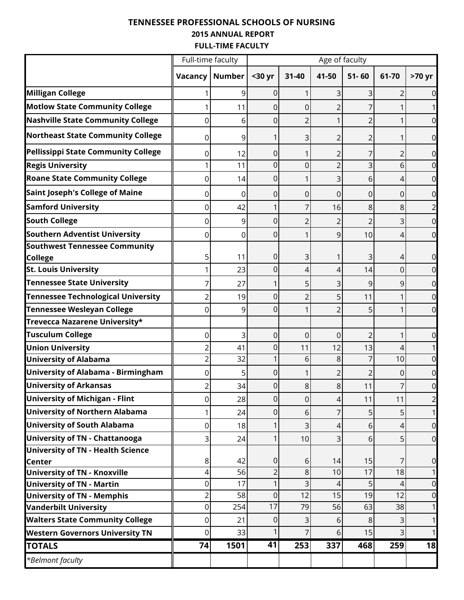## **TENNESSEE PROFESSIONAL SCHOOLS OF NURSING 2015 ANNUAL REPORT FULL-TIME FACULTY**

|                                                      | Full-time faculty |               | Age of faculty |                         |                |                |                |                |  |  |  |
|------------------------------------------------------|-------------------|---------------|----------------|-------------------------|----------------|----------------|----------------|----------------|--|--|--|
|                                                      | Vacancy           | <b>Number</b> | <30 yr         | $31 - 40$               | 41-50          | $51 - 60$      | 61-70          | >70 yr         |  |  |  |
| <b>Milligan College</b>                              |                   | 9             | 0              |                         | 3              | 3              | 2              |                |  |  |  |
| <b>Motlow State Community College</b>                |                   | 11            | 0              | 0                       | 2              | 7              |                |                |  |  |  |
| <b>Nashville State Community College</b>             | 0                 | 6             | 0              | $\overline{2}$          |                | $\overline{2}$ | 1              |                |  |  |  |
| <b>Northeast State Community College</b>             | 0                 | 9             |                | 3                       | 2              | 2              | 1              | 0              |  |  |  |
| Pellissippi State Community College                  | 0                 | 12            | 0              |                         | 2              | 7              | 2              | 0              |  |  |  |
| <b>Regis University</b>                              |                   | 11            | 0              | 0                       | $\overline{2}$ | 3              | 6              |                |  |  |  |
| <b>Roane State Community College</b>                 | 0                 | 14            | 0              |                         | 3              | 6              | 4              | 0              |  |  |  |
| <b>Saint Joseph's College of Maine</b>               | 0                 | 0             | 0              | 0                       | 0              | 0              | 0              | 0              |  |  |  |
| <b>Samford University</b>                            | 0                 | 42            |                |                         | 16             | 8              | 8              |                |  |  |  |
| <b>South College</b>                                 | 0                 | 9             | 0              | 2                       | 2              | $\overline{2}$ | 3              | 0              |  |  |  |
| <b>Southern Adventist University</b>                 | 0                 | 0             | 0              |                         | 9              | 10             | 4              | 0              |  |  |  |
| Southwest Tennessee Community<br><b>College</b>      | 5                 | 11            | 0              | 3                       | 1              | 3              | 4              | 0              |  |  |  |
| <b>St. Louis University</b>                          |                   | 23            | 0              | 4                       | 4              | 14             | 0              | 0              |  |  |  |
| <b>Tennessee State University</b>                    |                   | 27            |                | 5                       | 3              | 9              | 9              | 0              |  |  |  |
| <b>Tennessee Technological University</b>            |                   | 19            | 0              | 2                       | 5              | 11             | 1              | 0              |  |  |  |
| <b>Tennessee Wesleyan College</b>                    | 0                 | 9             | 0              |                         | $\overline{2}$ | 5              |                | 0              |  |  |  |
| Trevecca Nazarene University*                        |                   |               |                |                         |                |                |                |                |  |  |  |
| <b>Tusculum College</b>                              | 0                 | 3             | 0              | 0                       | 0              | 2              | 1              | 0              |  |  |  |
| <b>Union University</b>                              |                   | 41            | 0              | 11                      | 12             | 13             | 4              |                |  |  |  |
| <b>University of Alabama</b>                         | 2                 | 32            |                | 6                       | 8              | 7              | 10             | 0              |  |  |  |
| University of Alabama - Birmingham                   | 0                 | 5             | 0              |                         | $\overline{2}$ | $\overline{2}$ | 0              | 0              |  |  |  |
| <b>University of Arkansas</b>                        |                   | 34            | 0              | 8                       | 8              | 11             | 7              | 0              |  |  |  |
| <b>University of Michigan - Flint</b>                | 0                 | 28            | $\mathsf 0$    | 0                       | 4              | 11             | 11             | $\overline{c}$ |  |  |  |
| <b>University of Northern Alabama</b>                |                   | 24            | $\overline{0}$ | $\sigma$                | 7              | 5              | 5 <sup>1</sup> | 1              |  |  |  |
| <b>University of South Alabama</b>                   | 0                 | 18            |                | 3                       | 4              | 6              | 4              | $\overline{0}$ |  |  |  |
| <b>University of TN - Chattanooga</b>                | 3                 | 24            |                | 10                      | 3              | 6              | 5 <sup>1</sup> | $\overline{0}$ |  |  |  |
| <b>University of TN - Health Science</b>             |                   |               |                |                         |                |                |                |                |  |  |  |
| <b>Center</b><br><b>University of TN - Knoxville</b> | 8<br>4            | 42<br>56      | $\pmb{0}$<br>2 | 6<br>8                  | 14<br>10       | 15<br>17       | 7<br>18        | $\mathbf 0$    |  |  |  |
| <b>University of TN - Martin</b>                     | 0                 | 17            | 1              | $\overline{\mathsf{c}}$ | 4              | 5              | 4              | $\mathbf 0$    |  |  |  |
| <b>University of TN - Memphis</b>                    | $\overline{2}$    | 58            | 0              | 12                      | 15             | 19             | 12             | $\overline{0}$ |  |  |  |
| <b>Vanderbilt University</b>                         | 0                 | 254           | 17             | 79                      | 56             | 63             | 38             |                |  |  |  |
| <b>Walters State Community College</b>               | 0                 | 21            | 0              | 3                       | 6              | 8              | $\overline{3}$ |                |  |  |  |
| <b>Western Governors University TN</b>               | 0                 | 33            |                | 7                       | 6              | 15             | $\overline{3}$ |                |  |  |  |
| <b>TOTALS</b>                                        | 74                | 1501          | 41             | 253                     | 337            | 468            | 259            | 18             |  |  |  |
| *Belmont faculty                                     |                   |               |                |                         |                |                |                |                |  |  |  |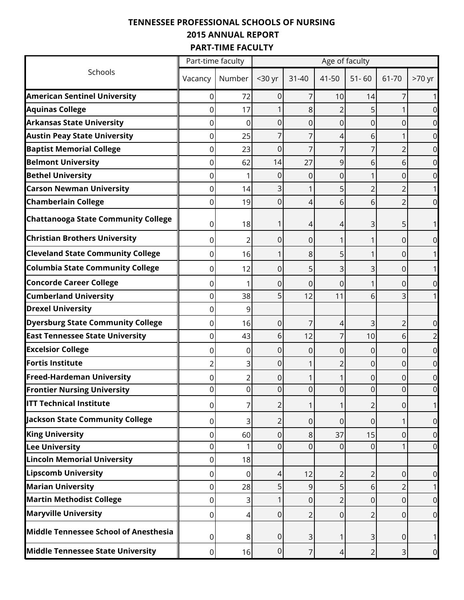## **TENNESSEE PROFESSIONAL SCHOOLS OF NURSING 2015 ANNUAL REPORT PART-TIME FACULTY**

|                                              | Part-time faculty |        | Age of faculty |           |                |                |                |        |  |  |  |  |
|----------------------------------------------|-------------------|--------|----------------|-----------|----------------|----------------|----------------|--------|--|--|--|--|
| Schools                                      | Vacancy           | Number | <30 yr         | $31 - 40$ | 41-50          | $51 - 60$      | 61-70          | >70 yr |  |  |  |  |
| <b>American Sentinel University</b>          | 0                 | 72     | 0              | 7         | 10             | 14             |                |        |  |  |  |  |
| <b>Aquinas College</b>                       | 0                 | 17     |                | 8         | 2              |                |                |        |  |  |  |  |
| <b>Arkansas State University</b>             | 0                 | 0      | 0              | 0         | 0              | 0              | 0              |        |  |  |  |  |
| <b>Austin Peay State University</b>          | 0                 | 25     | 7              |           | 4              | 6              |                |        |  |  |  |  |
| <b>Baptist Memorial College</b>              | 0                 | 23     | 0              |           |                |                | 2              |        |  |  |  |  |
| <b>Belmont University</b>                    | 0                 | 62     | 14             | 27        | 9              | 6              | 6              |        |  |  |  |  |
| <b>Bethel University</b>                     | 0                 |        | 0              | 0         | 0              |                | 0              |        |  |  |  |  |
| <b>Carson Newman University</b>              | 0                 | 14     | 3              |           | 5              |                | 2              |        |  |  |  |  |
| <b>Chamberlain College</b>                   | 0                 | 19     | 0              | 4         | 6              | 6              | $\overline{2}$ | 0      |  |  |  |  |
| <b>Chattanooga State Community College</b>   | 0                 | 18     |                | 4         | 4              | 3              | 5              |        |  |  |  |  |
| <b>Christian Brothers University</b>         | 0                 | 2      | 0              | 0         | 1              |                | 0              | ი      |  |  |  |  |
| <b>Cleveland State Community College</b>     | 0                 | 16     |                | 8         | 5              |                | 0              |        |  |  |  |  |
| <b>Columbia State Community College</b>      | 0                 | 12     | 0              | 5         | 3              | 3              | 0              |        |  |  |  |  |
| <b>Concorde Career College</b>               | 0                 |        | 0              | 0         | 0              |                | 0              | 0      |  |  |  |  |
| <b>Cumberland University</b>                 | 0                 | 38     | 5              | 12        | 11             | 6              | 3              |        |  |  |  |  |
| <b>Drexel University</b>                     | 0                 | 9      |                |           |                |                |                |        |  |  |  |  |
| <b>Dyersburg State Community College</b>     | 0                 | 16     | $\mathbf 0$    | 7         | 4              | 3              | 2              | 0      |  |  |  |  |
| <b>East Tennessee State University</b>       | 0                 | 43     | 6              | 12        | 7              | 10             | 6              |        |  |  |  |  |
| <b>Excelsior College</b>                     | 0                 | 0      | 0              | 0         | 0              | 0              | 0              | 0      |  |  |  |  |
| <b>Fortis Institute</b>                      | $\overline{2}$    | 3      | 0              |           | $\overline{2}$ | 0              | $\mathbf 0$    | 0      |  |  |  |  |
| <b>Freed-Hardeman University</b>             | 0                 | 2      | 0              |           |                | 0              | 0              | 0      |  |  |  |  |
| <b>Frontier Nursing University</b>           | 0                 | 0      | 0              | 0         | 0              | 0              | 0              |        |  |  |  |  |
| <b>ITT Technical Institute</b>               | 0                 | 7      | $\overline{2}$ |           | 1              | 2              | 0              |        |  |  |  |  |
| Jackson State Community College              | 0                 | 3      | $\overline{2}$ | 0         | 0              | 0              | 1              | 0      |  |  |  |  |
| <b>King University</b>                       | 0                 | 60     | 0              | 8         | 37             | 15             | 0              | 0      |  |  |  |  |
| <b>Lee University</b>                        | 0                 |        | 0              | 0         | 0              | $\Omega$       |                | 0      |  |  |  |  |
| <b>Lincoln Memorial University</b>           | 0                 | 18     |                |           |                |                |                |        |  |  |  |  |
| <b>Lipscomb University</b>                   | 0                 | 0      | 4              | 12        | $\overline{2}$ | $\overline{2}$ | 0              | 0      |  |  |  |  |
| <b>Marian University</b>                     | 0                 | 28     | 5              | 9         | 5              | 6              | $\overline{2}$ |        |  |  |  |  |
| <b>Martin Methodist College</b>              | 0                 | 3      |                | 0         | $\overline{2}$ | 0              | 0              | 0      |  |  |  |  |
| <b>Maryville University</b>                  | 0                 | 4      | 0              | 2         | 0              | $\overline{2}$ | 0              | 0      |  |  |  |  |
| <b>Middle Tennessee School of Anesthesia</b> | 0                 | 8      | 0              | 3         | 1              | 3              | 0              |        |  |  |  |  |
| <b>Middle Tennessee State University</b>     | $\overline{0}$    | 16     | 0              | 7         | 4              | 2              | 3              | 0      |  |  |  |  |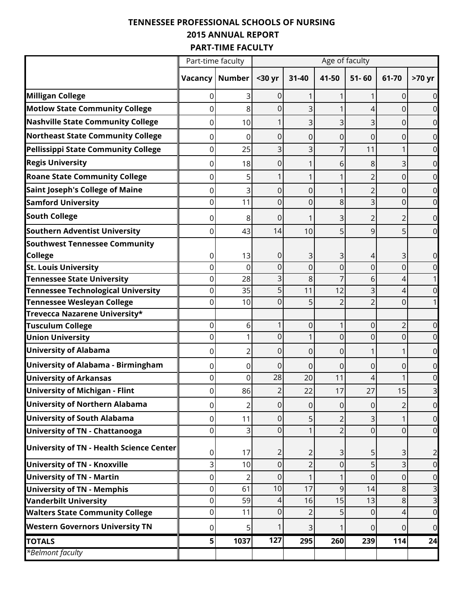## **TENNESSEE PROFESSIONAL SCHOOLS OF NURSING 2015 ANNUAL REPORT PART-TIME FACULTY**

|                                           | Part-time faculty |                | Age of faculty   |                |                |                |                |                         |  |  |  |
|-------------------------------------------|-------------------|----------------|------------------|----------------|----------------|----------------|----------------|-------------------------|--|--|--|
|                                           | Vacancy           | <b>Number</b>  | <30 yr           | 31-40          | 41-50          | $51 - 60$      | 61-70          | >70 yr                  |  |  |  |
| <b>Milligan College</b>                   | 0                 | 3              | 0                |                |                |                | 0              | $\overline{O}$          |  |  |  |
| <b>Motlow State Community College</b>     | 0                 | 8              | 0                | 3              |                | 4              | 0              | $\overline{0}$          |  |  |  |
| <b>Nashville State Community College</b>  | 0                 | 10             |                  | 3              | 3              | 3              | 0              | $\overline{0}$          |  |  |  |
| <b>Northeast State Community College</b>  | 0                 | 0              | 0                | 0              | 0              | 0              | 0              | $\overline{O}$          |  |  |  |
| Pellissippi State Community College       | 0                 | 25             | 3                | 3              | 7              | 11             | 1              | $\overline{0}$          |  |  |  |
| <b>Regis University</b>                   | 0                 | 18             | 0                |                | 6              | 8              | 3              | $\overline{O}$          |  |  |  |
| <b>Roane State Community College</b>      | 0                 | 5              | 1                |                |                | 2              | 0              | $\overline{0}$          |  |  |  |
| <b>Saint Joseph's College of Maine</b>    | 0                 | 3              | 0                | 0              |                |                | 0              | $\overline{O}$          |  |  |  |
| <b>Samford University</b>                 | 0                 | 11             | $\overline{0}$   | 0              | 8              | 3              | 0              | $\overline{0}$          |  |  |  |
| <b>South College</b>                      | 0                 | 8              | 0                |                | 3              |                | 2              | $\overline{0}$          |  |  |  |
| <b>Southern Adventist University</b>      | 0                 | 43             | 14               | 10             | 5              | 9              | 5              | $\overline{O}$          |  |  |  |
| <b>Southwest Tennessee Community</b>      |                   |                |                  |                |                |                |                |                         |  |  |  |
| <b>College</b>                            | 0                 | 13             | 0                | 3              | 3              | 4              | 3              | $\overline{0}$          |  |  |  |
| <b>St. Louis University</b>               | 0                 | 0              | 0                | 0              | 0              | $\Omega$       | 0              | $\overline{0}$          |  |  |  |
| <b>Tennessee State University</b>         | 0                 | 28             | 3                | 8              |                | 6              | 4              |                         |  |  |  |
| <b>Tennessee Technological University</b> | 0                 | 35             | 5                | 11             | 12             |                | 4              | $\overline{0}$          |  |  |  |
| <b>Tennessee Wesleyan College</b>         | 0                 | 10             | $\overline{0}$   | 5              | $\overline{2}$ | $\overline{2}$ | $\mathbf 0$    |                         |  |  |  |
| Trevecca Nazarene University*             |                   |                |                  |                |                |                |                |                         |  |  |  |
| <b>Tusculum College</b>                   | 0                 | 6              | 1                | 0              | 1              | 0              | $\overline{2}$ | $\overline{0}$          |  |  |  |
| <b>Union University</b>                   | 0                 | 1              | 0                |                | 0              | 0              | $\mathbf 0$    | $\overline{O}$          |  |  |  |
| <b>University of Alabama</b>              | 0                 | 2              | 0                | 0              | 0              |                | 1              | $\overline{O}$          |  |  |  |
| University of Alabama - Birmingham        | 0                 | 0              | 0                | 0              | 0              | 0              | 0              | $\overline{O}$          |  |  |  |
| <b>University of Arkansas</b>             | 0                 | 0              | 28               | 20             | 11             | 4              |                | $\overline{O}$          |  |  |  |
| <b>University of Michigan - Flint</b>     | 0                 | 86             | $\overline{2}$   | 22             | 17             | 27             | 15             | 3                       |  |  |  |
| <b>University of Northern Alabama</b>     | 0                 | $\overline{2}$ | $\mathbf 0$      | 0              | $\overline{0}$ | 0              | $\overline{2}$ | $\overline{0}$          |  |  |  |
| <b>University of South Alabama</b>        | 0                 | 11             | 0                | 5              | $\overline{2}$ | 3              | 1              | $\overline{0}$          |  |  |  |
| <b>University of TN - Chattanooga</b>     | 0                 | 3              | $\overline{0}$   |                | $\overline{2}$ | $\Omega$       | 0              | $\overline{0}$          |  |  |  |
| University of TN - Health Science Center  | 0                 | 17             | $\overline{a}$   | 2              | $\overline{3}$ | 5              | 3              | $\overline{2}$          |  |  |  |
| <b>University of TN - Knoxville</b>       | 3                 | 10             | $\overline{0}$   | $\overline{2}$ | 0              | 5              | 3              | $\overline{0}$          |  |  |  |
| <b>University of TN - Martin</b>          | 0                 | $\overline{2}$ | 0                |                | $\mathbf{1}$   | 0              | $\mathbf 0$    | $\overline{0}$          |  |  |  |
| <b>University of TN - Memphis</b>         | 0                 | 61             | 10               | 17             | 9              | 14             | $\,8\,$        | $\mathsf{B}$            |  |  |  |
| <b>Vanderbilt University</b>              | $\overline{0}$    | 59             | 4                | 16             | 15             | 13             | 8              | $\overline{\mathbf{3}}$ |  |  |  |
| <b>Walters State Community College</b>    | 0                 | 11             | 0                | 2              | 5              | $\Omega$       | 4              | $\overline{0}$          |  |  |  |
| <b>Western Governors University TN</b>    | $\overline{0}$    | 5              |                  | 3              | 1              | 0              | 0              | $\overline{0}$          |  |  |  |
| <b>TOTALS</b>                             | 5 <sup>1</sup>    | 1037           | $\overline{127}$ | 295            | 260            | 239            | 114            | 24                      |  |  |  |
| *Belmont faculty                          |                   |                |                  |                |                |                |                |                         |  |  |  |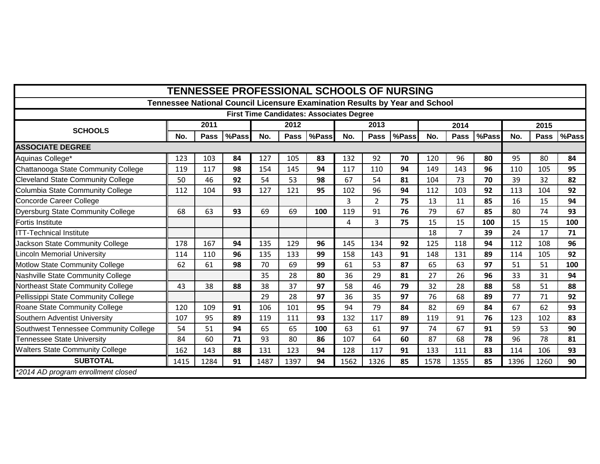| <b>TENNESSEE PROFESSIONAL SCHOOLS OF NURSING</b> |      |      |       |      |      |                                                 |      |                |                                                                             |      |      |       |      |      |       |
|--------------------------------------------------|------|------|-------|------|------|-------------------------------------------------|------|----------------|-----------------------------------------------------------------------------|------|------|-------|------|------|-------|
|                                                  |      |      |       |      |      |                                                 |      |                | Tennessee National Council Licensure Examination Results by Year and School |      |      |       |      |      |       |
|                                                  |      |      |       |      |      | <b>First Time Candidates: Associates Degree</b> |      |                |                                                                             |      |      |       |      |      |       |
| <b>SCHOOLS</b>                                   |      | 2011 |       |      | 2012 |                                                 |      | 2013           |                                                                             |      | 2014 |       | 2015 |      |       |
|                                                  | No.  | Pass | %Pass | No.  | Pass | %Pass                                           | No.  | Pass           | %Pass                                                                       | No.  | Pass | %Pass | No.  | Pass | %Pass |
| <b>ASSOCIATE DEGREE</b>                          |      |      |       |      |      |                                                 |      |                |                                                                             |      |      |       |      |      |       |
| Aquinas College*                                 | 123  | 103  | 84    | 127  | 105  | 83                                              | 132  | 92             | 70                                                                          | 120  | 96   | 80    | 95   | 80   | 84    |
| Chattanooga State Community College              | 119  | 117  | 98    | 154  | 145  | 94                                              | 117  | 110            | 94                                                                          | 149  | 143  | 96    | 110  | 105  | 95    |
| <b>Cleveland State Community College</b>         | 50   | 46   | 92    | 54   | 53   | 98                                              | 67   | 54             | 81                                                                          | 104  | 73   | 70    | 39   | 32   | 82    |
| Columbia State Community College                 | 112  | 104  | 93    | 127  | 121  | 95                                              | 102  | 96             | 94                                                                          | 112  | 103  | 92    | 113  | 104  | 92    |
| Concorde Career College                          |      |      |       |      |      |                                                 | 3    | $\overline{2}$ | 75                                                                          | 13   | 11   | 85    | 16   | 15   | 94    |
| Dyersburg State Community College                | 68   | 63   | 93    | 69   | 69   | 100                                             | 119  | 91             | 76                                                                          | 79   | 67   | 85    | 80   | 74   | 93    |
| Fortis Institute                                 |      |      |       |      |      |                                                 | 4    | 3              | 75                                                                          | 15   | 15   | 100   | 15   | 15   | 100   |
| <b>ITT-Technical Institute</b>                   |      |      |       |      |      |                                                 |      |                |                                                                             | 18   | 7    | 39    | 24   | 17   | 71    |
| Jackson State Community College                  | 178  | 167  | 94    | 135  | 129  | 96                                              | 145  | 134            | 92                                                                          | 125  | 118  | 94    | 112  | 108  | 96    |
| Lincoln Memorial University                      | 114  | 110  | 96    | 135  | 133  | 99                                              | 158  | 143            | 91                                                                          | 148  | 131  | 89    | 114  | 105  | 92    |
| Motlow State Community College                   | 62   | 61   | 98    | 70   | 69   | 99                                              | 61   | 53             | 87                                                                          | 65   | 63   | 97    | 51   | 51   | 100   |
| Nashville State Community College                |      |      |       | 35   | 28   | 80                                              | 36   | 29             | 81                                                                          | 27   | 26   | 96    | 33   | 31   | 94    |
| Northeast State Community College                | 43   | 38   | 88    | 38   | 37   | 97                                              | 58   | 46             | 79                                                                          | 32   | 28   | 88    | 58   | 51   | 88    |
| Pellissippi State Community College              |      |      |       | 29   | 28   | 97                                              | 36   | 35             | 97                                                                          | 76   | 68   | 89    | 77   | 71   | 92    |
| Roane State Community College                    | 120  | 109  | 91    | 106  | 101  | 95                                              | 94   | 79             | 84                                                                          | 82   | 69   | 84    | 67   | 62   | 93    |
| Southern Adventist University                    | 107  | 95   | 89    | 119  | 111  | 93                                              | 132  | 117            | 89                                                                          | 119  | 91   | 76    | 123  | 102  | 83    |
| Southwest Tennessee Community College            | 54   | 51   | 94    | 65   | 65   | 100                                             | 63   | 61             | 97                                                                          | 74   | 67   | 91    | 59   | 53   | 90    |
| Tennessee State University                       | 84   | 60   | 71    | 93   | 80   | 86                                              | 107  | 64             | 60                                                                          | 87   | 68   | 78    | 96   | 78   | 81    |
| <b>Walters State Community College</b>           | 162  | 143  | 88    | 131  | 123  | 94                                              | 128  | 117            | 91                                                                          | 133  | 111  | 83    | 114  | 106  | 93    |
| <b>SUBTOTAL</b>                                  | 1415 | 1284 | 91    | 1487 | 1397 | 94                                              | 1562 | 1326           | 85                                                                          | 1578 | 1355 | 85    | 1396 | 1260 | 90    |
| *2014 AD program enrollment closed               |      |      |       |      |      |                                                 |      |                |                                                                             |      |      |       |      |      |       |